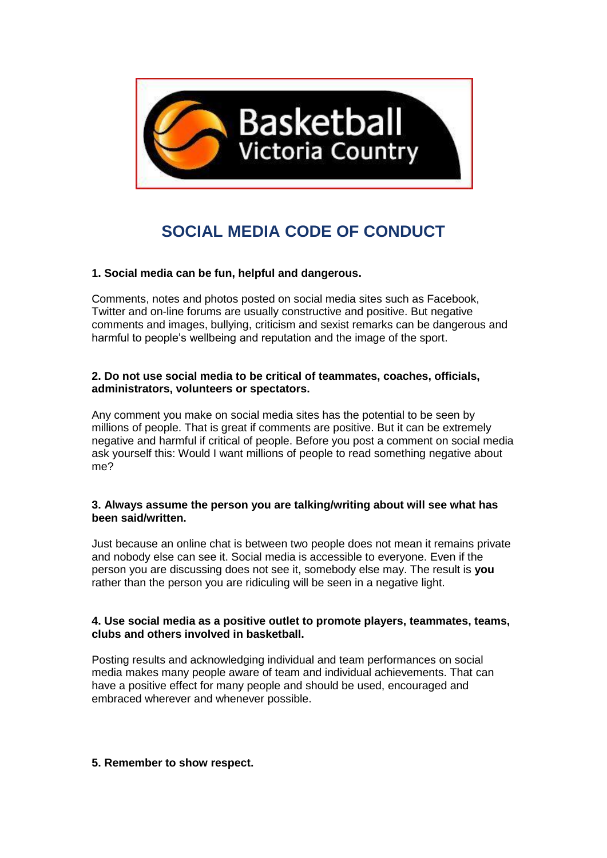

# **SOCIAL MEDIA CODE OF CONDUCT**

# **1. Social media can be fun, helpful and dangerous.**

Comments, notes and photos posted on social media sites such as Facebook, Twitter and on-line forums are usually constructive and positive. But negative comments and images, bullying, criticism and sexist remarks can be dangerous and harmful to people's wellbeing and reputation and the image of the sport.

### **2. Do not use social media to be critical of teammates, coaches, officials, administrators, volunteers or spectators.**

Any comment you make on social media sites has the potential to be seen by millions of people. That is great if comments are positive. But it can be extremely negative and harmful if critical of people. Before you post a comment on social media ask yourself this: Would I want millions of people to read something negative about me?

#### **3. Always assume the person you are talking/writing about will see what has been said/written.**

Just because an online chat is between two people does not mean it remains private and nobody else can see it. Social media is accessible to everyone. Even if the person you are discussing does not see it, somebody else may. The result is **you**  rather than the person you are ridiculing will be seen in a negative light.

## **4. Use social media as a positive outlet to promote players, teammates, teams, clubs and others involved in basketball.**

Posting results and acknowledging individual and team performances on social media makes many people aware of team and individual achievements. That can have a positive effect for many people and should be used, encouraged and embraced wherever and whenever possible.

## **5. Remember to show respect.**